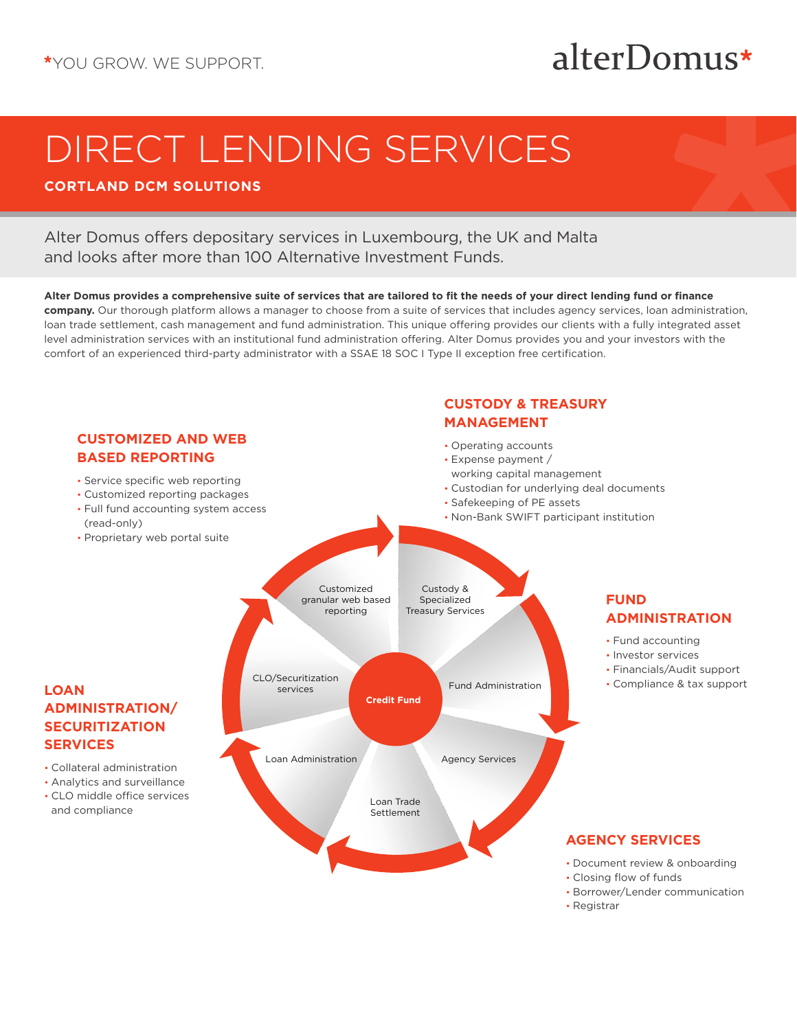## alterDomus\*

# DIRECT LENDING SERVICES

## **CORTLAND DCM SOLUTIONS**

## Alter Domus offers depositary services in Luxembourg, the UK and Malta and looks after more than 100 Alternative Investment Funds.

#### **Alter Domus provides a comprehensive suite of services that are tailored to fit the needs of your direct lending fund or finance**

**company.** Our thorough platform allows a manager to choose from a suite of services that includes agency services, loan administration, loan trade settlement, cash management and fund administration. This unique offering provides our clients with a fully integrated asset level administration services with an institutional fund administration offering. Alter Domus provides you and your investors with the comfort of an experienced third-party administrator with a SSAE 18 SOC I Type II exception free certification.